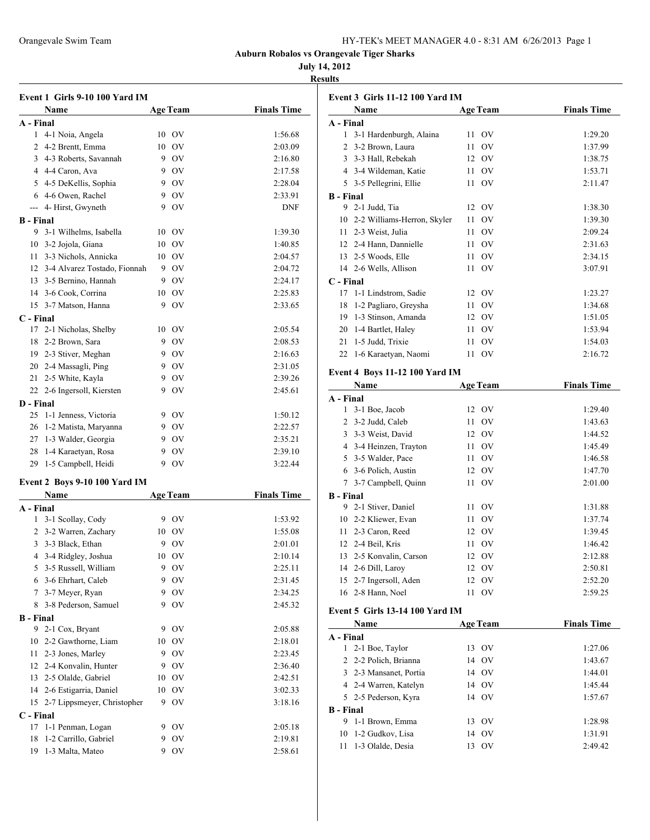| HY-TEK's MEET MANAGER 4.0 - 8:31 AM 6/26/2013 Page 1 |  |  |  |
|------------------------------------------------------|--|--|--|
|------------------------------------------------------|--|--|--|

### **July 14, 2012**

**Results**

|                  | Event 1 Girls 9-10 100 Yard IM  |    |                 |                    |
|------------------|---------------------------------|----|-----------------|--------------------|
|                  | Name                            |    | <b>Age Team</b> | <b>Finals Time</b> |
| A - Final        |                                 |    |                 |                    |
|                  | 1 4-1 Noia, Angela              |    | 10 OV           | 1:56.68            |
|                  | 2 4-2 Brentt, Emma              | 10 | - OV            | 2:03.09            |
|                  | 3 4-3 Roberts, Savannah         |    | 9 OV            | 2:16.80            |
|                  | 4 4-4 Caron, Ava                |    | 9 OV            | 2:17.58            |
|                  | 5 4-5 DeKellis, Sophia          |    | 9 OV            | 2:28.04            |
|                  | 6 4-6 Owen, Rachel              |    | 9 OV            | 2:33.91            |
|                  | --- 4- Hirst, Gwyneth           | 9  | <b>OV</b>       | <b>DNF</b>         |
| <b>B</b> - Final |                                 |    |                 |                    |
|                  | 9 3-1 Wilhelms, Isabella        |    | 10 OV           | 1:39.30            |
|                  | 10 3-2 Jojola, Giana            | 10 | - OV            | 1:40.85            |
| 11               | 3-3 Nichols, Annicka            | 10 | - OV            | 2:04.57            |
|                  | 12 3-4 Alvarez Tostado, Fionnah |    | 9 OV            | 2:04.72            |
|                  | 13 3-5 Bernino, Hannah          |    | 9 OV            | 2:24.17            |
|                  | 14 3-6 Cook, Corrina            | 10 | <b>OV</b>       | 2:25.83            |
|                  | 15 3-7 Matson, Hanna            |    | 9 OV            | 2:33.65            |
| C - Final        |                                 |    |                 |                    |
| 17               | 2-1 Nicholas, Shelby            |    | 10 OV           | 2:05.54            |
| 18               | 2-2 Brown, Sara                 |    | 9 OV            | 2:08.53            |
|                  | 19 2-3 Stiver, Meghan           |    | 9 OV            | 2:16.63            |
|                  | 20 2-4 Massagli, Ping           |    | 9 OV            | 2:31.05            |
|                  | 21 2-5 White, Kayla             |    | 9 OV            | 2:39.26            |
|                  | 22 2-6 Ingersoll, Kiersten      | 9. | OV              | 2:45.61            |
| D - Final        |                                 |    |                 |                    |
| 25               | 1-1 Jenness, Victoria           |    | 9 OV            | 1:50.12            |
|                  | 26 1-2 Matista, Maryanna        |    | 9 OV            | 2:22.57            |
|                  | 27 1-3 Walder, Georgia          |    | 9 OV            | 2:35.21            |
| 28               | 1-4 Karaetyan, Rosa             |    | 9 OV            | 2:39.10            |
| 29               | 1-5 Campbell, Heidi             |    | 9 OV            | 3:22.44            |
|                  |                                 |    |                 |                    |
|                  | Event 2 Boys 9-10 100 Yard IM   |    |                 |                    |
|                  | <b>Name</b>                     |    | Age Team        | <b>Finals Time</b> |
| A - Final        |                                 |    |                 |                    |
|                  | 1 3-1 Scollay, Cody             | 9  | - OV            | 1:53.92            |
|                  | 2 3-2 Warren, Zachary           |    | 10 OV           | 1:55.08            |
|                  | 3 3-3 Black, Ethan              | 9  | OV              | 2:01.01            |
| 4                | 3-4 Ridgley, Joshua             | 10 | OV              | 2:10.14            |
| 5.               | 3-5 Russell, William            | 9  | <b>OV</b>       | 2:25.11            |
| 6                | 3-6 Ehrhart, Caleb              |    | 9 OV            | 2:31.45            |
| 7                | 3-7 Meyer, Ryan                 | 9  | OV              | 2:34.25            |
| 8                | 3-8 Pederson, Samuel            | 9  | OV              | 2:45.32            |
| <b>B</b> - Final |                                 |    |                 |                    |
| 9                | 2-1 Cox, Bryant                 | 9. | OV              | 2:05.88            |
| 10               | 2-2 Gawthorne, Liam             |    | 10 OV           | 2:18.01            |
| 11               | 2-3 Jones, Marley               |    | 9 OV            | 2:23.45            |
| 12               | 2-4 Konvalin, Hunter            | 9  | OV              | 2:36.40            |
| 13               | 2-5 Olalde, Gabriel             | 10 | <b>OV</b>       | 2:42.51            |
|                  | 14 2-6 Estigarria, Daniel       | 10 | OV              | 3:02.33            |
| 15               | 2-7 Lippsmeyer, Christopher     | 9  | OV              | 3:18.16            |
| C - Final        |                                 |    |                 |                    |
| 17               | 1-1 Penman, Logan               | 9. | <b>OV</b>       | 2:05.18            |
| 18               | 1-2 Carrillo, Gabriel           |    | 9 OV            | 2:19.81            |
| 19               | 1-3 Malta, Mateo                | 9  | <b>OV</b>       | 2:58.61            |

|                  | Event 3 Girls 11-12 100 Yard IM |                 |                    |
|------------------|---------------------------------|-----------------|--------------------|
|                  | Name                            | <b>Age Team</b> | <b>Finals Time</b> |
| A - Final        |                                 |                 |                    |
|                  | 1 3-1 Hardenburgh, Alaina       | 11<br>OV        | 1:29.20            |
|                  | 2 3-2 Brown, Laura              | 11<br>OV        | 1:37.99            |
|                  | 3 3-3 Hall, Rebekah             | 12<br>- OV      | 1:38.75            |
|                  | 4 3-4 Wildeman, Katie           | OV<br>11        | 1:53.71            |
|                  | 5 3-5 Pellegrini, Ellie         | OV<br>11        | 2:11.47            |
| <b>B</b> - Final |                                 |                 |                    |
|                  | 9 2-1 Judd, Tia                 | 12<br>- OV      | 1:38.30            |
|                  | 10 2-2 Williams-Herron, Skyler  | OV<br>11        | 1:39.30            |
|                  | 11 2-3 Weist, Julia             | OV<br>11        | 2:09.24            |
|                  | 12 2-4 Hann, Dannielle          | 11<br>OV        | 2:31.63            |
|                  | 13 2-5 Woods, Elle              | 11<br>OV        | 2:34.15            |
|                  | 14 2-6 Wells, Allison           | OV<br>11        | 3:07.91            |
| C - Final        |                                 |                 |                    |
| 17               | 1-1 Lindstrom, Sadie            | - OV<br>12      | 1:23.27            |
| 18               | 1-2 Pagliaro, Greysha           | OV<br>11        | 1:34.68            |
| 19               | 1-3 Stinson, Amanda             | 12 OV           | 1:51.05            |
| 20               | 1-4 Bartlet, Haley              | OV<br>11        | 1:53.94            |
| 21               | 1-5 Judd, Trixie                | OV<br>11        | 1:54.03            |
| 22               | 1-6 Karaetyan, Naomi            | 11<br>OV        | 2:16.72            |
|                  | Event 4 Boys 11-12 100 Yard IM  |                 |                    |
|                  | Name                            | <b>Age Team</b> | <b>Finals Time</b> |
| A - Final        |                                 |                 |                    |
|                  | 1 3-1 Boe, Jacob                | 12 OV           | 1:29.40            |
|                  | 2 3-2 Judd, Caleb               | 11 OV           | 1:43.63            |
|                  | 3 3-3 Weist, David              | 12 OV           | 1:44.52            |
|                  | 4 3-4 Heinzen, Trayton          | 11 -<br>OV      | 1:45.49            |
|                  | 5 3-5 Walder, Pace              | OV<br>11 -      | 1:46.58            |
|                  | 6 3-6 Polich, Austin            | 12 OV           | 1:47.70            |
|                  | 7 3-7 Campbell, Quinn           | OV<br>11        | 2:01.00            |
| <b>B</b> - Final |                                 |                 |                    |
|                  | 9 2-1 Stiver, Daniel            | OV<br>11        | 1:31.88            |
|                  | 10 2-2 Kliewer, Evan            | 11<br>OV        | 1:37.74            |
| 11               | 2-3 Caron, Reed                 | 12 OV           | 1:39.45            |
| 12               | 2-4 Beil, Kris                  | 11<br>OV        | 1:46.42            |
| 13               | 2-5 Konvalin, Carson            | 12 OV           | 2:12.88            |
| 14               | 2-6 Dill, Laroy                 | 12<br>OV        | 2:50.81            |
| 15               | 2-7 Ingersoll, Aden             | 12<br>OV        | 2:52.20            |
|                  | 16 2-8 Hann, Noel               | 11<br>OV        | 2:59.25            |
|                  |                                 |                 |                    |
|                  | Event 5 Girls 13-14 100 Yard IM |                 |                    |
|                  | Name                            | <b>Age Team</b> | <b>Finals Time</b> |
| A - Final        |                                 |                 |                    |
|                  | 1 2-1 Boe, Taylor               | 13<br>OV        | 1:27.06            |
| 2                | 2-2 Polich, Brianna             | OV<br>14        | 1:43.67            |
|                  | 3 2-3 Mansanet, Portia          | OV<br>14        | 1:44.01            |
|                  | 4 2-4 Warren, Katelyn           | OV<br>14        | 1:45.44            |
| 5                | 2-5 Pederson, Kyra              | OV<br>14        | 1:57.67            |
| <b>B</b> - Final |                                 |                 |                    |
| 9                | 1-1 Brown, Emma                 | OV<br>13        | 1:28.98            |
| 10               | 1-2 Gudkov, Lisa                | OV<br>14        | 1:31.91            |
| 11               | 1-3 Olalde, Desia               | OV<br>13        | 2:49.42            |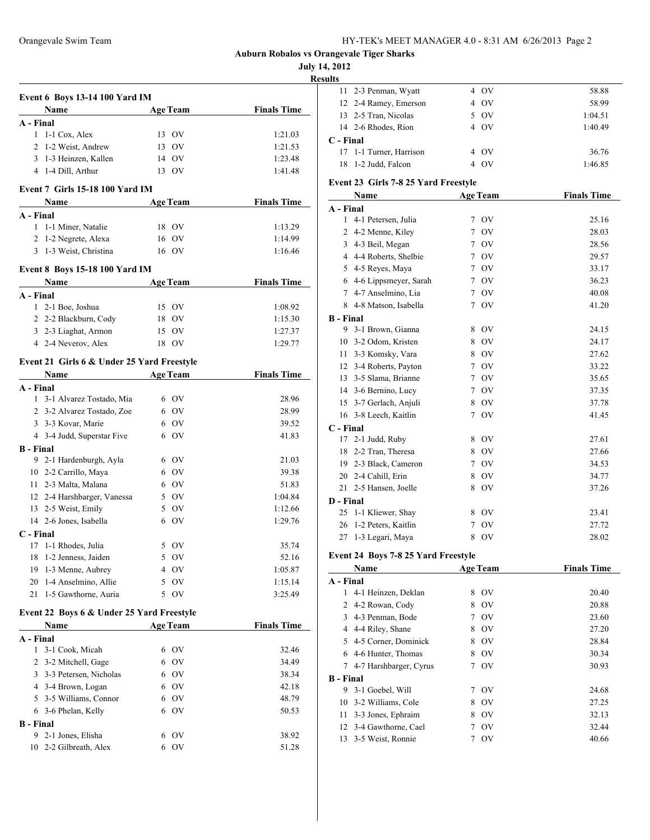**July 14, 2012**

**Results**

| Event 6 Boys 13-14 100 Yard IM             |                 |                    |
|--------------------------------------------|-----------------|--------------------|
| <b>Name</b>                                | <b>Age Team</b> | <b>Finals Time</b> |
| A - Final                                  |                 |                    |
| 1 1-1 Cox, Alex                            | 13 OV           | 1:21.03            |
| 2 1-2 Weist, Andrew                        | 13 OV           | 1:21.53            |
| 3<br>1-3 Heinzen, Kallen                   | 14 OV           | 1:23.48            |
| 4 1-4 Dill, Arthur                         | 13 OV           | 1:41.48            |
| Event 7 Girls 15-18 100 Yard IM            |                 |                    |
| Name                                       | <b>Age Team</b> | <b>Finals Time</b> |
| A - Final                                  | 18 OV           |                    |
| 1 1-1 Miner, Natalie                       | 16 OV           | 1:13.29            |
| 2 1-2 Negrete, Alexa                       |                 | 1:14.99            |
| 3 1-3 Weist, Christina                     | 16 OV           | 1:16.46            |
| <b>Event 8 Boys 15-18 100 Yard IM</b>      |                 |                    |
| Name                                       | <b>Age Team</b> | <b>Finals Time</b> |
| A - Final                                  |                 |                    |
| 1 2-1 Boe, Joshua                          | 15 OV           | 1:08.92            |
| 2 2-2 Blackburn, Cody                      | 18 OV           | 1:15.30            |
| 3 2-3 Liaghat, Armon                       | 15 OV           | 1:27.37            |
| 4 2-4 Neverov, Alex                        | 18 OV           | 1:29.77            |
| Event 21 Girls 6 & Under 25 Yard Freestyle |                 |                    |
| Name                                       | <b>Age Team</b> | <b>Finals Time</b> |
| A - Final                                  |                 |                    |
| 1 3-1 Alvarez Tostado, Mia                 | 6 OV            | 28.96              |
| 2 3-2 Alvarez Tostado, Zoe                 | 6 OV            | 28.99              |
| 3 3-3 Kovar, Marie                         | 6 OV            | 39.52              |
| 4 3-4 Judd, Superstar Five                 | 6 OV            | 41.83              |
| <b>B</b> - Final                           |                 |                    |
| 9 2-1 Hardenburgh, Ayla                    | 6 OV            | 21.03              |
| 10 2-2 Carrillo, Maya                      | 6 OV            | 39.38              |
| 11 2-3 Malta, Malana                       | 6 OV            | 51.83              |
| 12 2-4 Harshbarger, Vanessa                | 5 OV            | 1:04.84            |
| 13 2-5 Weist, Emily                        | 5 OV            | 1:12.66            |
| 14 2-6 Jones, Isabella                     | 6 OV            | 1:29.76            |
| C - Final                                  |                 |                    |
| 17 1-1 Rhodes, Julia                       | 5 OV            | 35.74              |
| 18 1-2 Jenness, Jaiden                     | 5 OV            | 52.16              |
| 1-3 Menne, Aubrey<br>19                    | 4 OV            | 1:05.87            |
| 1-4 Anselmino, Allie<br>20                 | $5$ OV          | 1:15.14            |
| 21<br>1-5 Gawthorne, Auria                 | 5 OV            | 3:25.49            |
| Event 22 Boys 6 & Under 25 Yard Freestyle  |                 |                    |
| Name                                       | <b>Age Team</b> | <b>Finals Time</b> |
| A - Final                                  |                 |                    |
| 3-1 Cook, Micah<br>1                       | 6 OV            | 32.46              |
| 2 3-2 Mitchell, Gage                       | 6 OV            | 34.49              |
| 3 3-3 Petersen, Nicholas                   | 6 OV            | 38.34              |
| 4 3-4 Brown, Logan                         | 6 OV            | 42.18              |
| 5 3-5 Williams, Connor                     | 6 OV            | 48.79              |
| 6 3-6 Phelan, Kelly                        | 6 OV            | 50.53              |
| <b>B</b> - Final                           |                 |                    |
| 9<br>2-1 Jones, Elisha                     | 6 OV            | 38.92              |
| 2-2 Gilbreath, Alex<br>10                  | 6 OV            | 51.28              |
|                                            |                 |                    |

|                  | 11 2-3 Penman, Wyatt                         |                 | 4 OV            | 58.88              |
|------------------|----------------------------------------------|-----------------|-----------------|--------------------|
|                  | 12 2-4 Ramey, Emerson                        |                 | 4 OV            | 58.99              |
|                  | 13 2-5 Tran, Nicolas                         |                 | 5 OV            | 1:04.51            |
|                  | 14 2-6 Rhodes, Rion                          |                 | 4 OV            | 1:40.49            |
| C - Final        |                                              |                 |                 |                    |
| 17               | 1-1 Turner, Harrison                         |                 | 4 OV            | 36.76              |
| 18               | 1-2 Judd, Falcon                             |                 | 4 OV            | 1:46.85            |
|                  |                                              |                 |                 |                    |
|                  | Event 23 Girls 7-8 25 Yard Freestyle<br>Name |                 | <b>Age Team</b> | <b>Finals Time</b> |
| A - Final        |                                              |                 |                 |                    |
|                  | 1 4-1 Petersen, Julia                        |                 | 7 OV            | 25.16              |
|                  | 2 4-2 Menne, Kiley                           | $7\phantom{.0}$ | OV              | 28.03              |
|                  | 3 4-3 Beil, Megan                            |                 | 7 OV            | 28.56              |
|                  | 4 4-4 Roberts, Shelbie                       |                 | 7 OV            | 29.57              |
|                  | 5 4-5 Reyes, Maya                            |                 | 7 OV            | 33.17              |
|                  | 6 4-6 Lippsmeyer, Sarah                      |                 | 7 OV            | 36.23              |
|                  | 7 4-7 Anselmino, Lia                         |                 | 7 OV            | 40.08              |
|                  | 8 4-8 Matson, Isabella                       |                 | 7 OV            | 41.20              |
| <b>B</b> - Final |                                              |                 |                 |                    |
|                  | 9 3-1 Brown, Gianna                          |                 | 8 OV            | 24.15              |
|                  | 10 3-2 Odom, Kristen                         |                 | 8 OV            | 24.17              |
|                  | 11 3-3 Komsky, Vara                          |                 | 8 OV            | 27.62              |
|                  | 12 3-4 Roberts, Payton                       |                 | 7 OV            | 33.22              |
|                  | 13 3-5 Slama, Brianne                        |                 | 7 OV            | 35.65              |
|                  | 14 3-6 Bernino, Lucy                         |                 | 7 OV            | 37.35              |
|                  | 15 3-7 Gerlach, Anjuli                       |                 | 8 OV            | 37.78              |
|                  | 16 3-8 Leech, Kaitlin                        |                 | 7 OV            | 41.45              |
| C - Final        |                                              |                 |                 |                    |
|                  | 17 2-1 Judd, Ruby                            |                 | 8 OV            | 27.61              |
|                  | 18 2-2 Tran, Theresa                         |                 | 8 OV            | 27.66              |
|                  | 19 2-3 Black, Cameron                        |                 | 7 OV            | 34.53              |
|                  | 20 2-4 Cahill, Erin                          |                 | 8 OV            | 34.77              |
|                  | 21 2-5 Hansen, Joelle                        |                 | 8 OV            | 37.26              |
| D - Final        |                                              |                 |                 |                    |
| 25               | 1-1 Kliewer, Shay                            |                 | 8 OV            | 23.41              |
| 26               | 1-2 Peters, Kaitlin                          | 7               | OV              | 27.72              |
| 27               | 1-3 Legari, Maya                             | 8               | OV              | 28.02              |
|                  | Event 24 Boys 7-8 25 Yard Freestyle          |                 |                 |                    |
|                  | Name                                         |                 | <b>Age Team</b> | <b>Finals Time</b> |
| A - Final        |                                              |                 |                 |                    |
| 1                | 4-1 Heinzen, Deklan                          | 8               | OV              | 20.40              |
| 2                | 4-2 Rowan, Cody                              | 8               | OV              | 20.88              |
| 3                | 4-3 Penman, Bode                             | $7^{\circ}$     | OV              | 23.60              |
|                  | 4 4-4 Riley, Shane                           |                 | 8 OV            | 27.20              |
| 5                | 4-5 Corner, Dominick                         | 8               | OV              | 28.84              |
| 6                | 4-6 Hunter, Thomas                           | 8               | OV              | 30.34              |
| 7                | 4-7 Harshbarger, Cyrus                       | 7               | OV              | 30.93              |
| <b>B</b> - Final |                                              |                 |                 |                    |
| 9                | 3-1 Goebel, Will                             | 7               | OV              | 24.68              |
| 10               | 3-2 Williams, Cole                           | 8               | OV              | 27.25              |
| 11               | 3-3 Jones, Ephraim                           | 8               | OV              | 32.13              |
|                  | 12 3-4 Gawthorne, Cael                       |                 | 7 OV            | 32.44              |

3-5 Weist, Ronnie 7 OV 40.66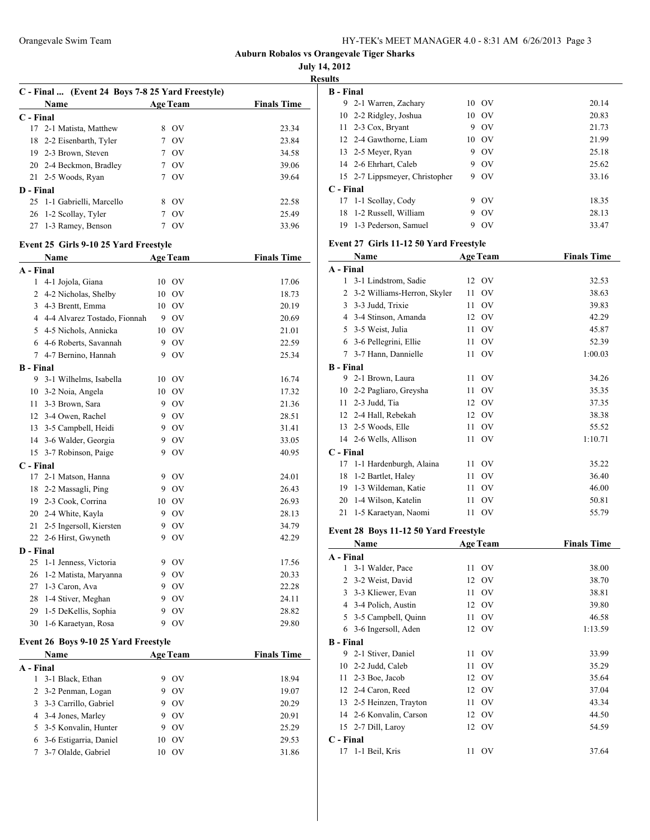### **July 14, 2012**

|                  | C - Final  (Event 24 Boys 7-8 25 Yard Freestyle) |                 |                    |
|------------------|--------------------------------------------------|-----------------|--------------------|
|                  | Name                                             | <b>Age Team</b> | <b>Finals Time</b> |
| C - Final        |                                                  |                 |                    |
| 17               | 2-1 Matista, Matthew                             | 8 OV            | 23.34              |
|                  | 18 2-2 Eisenbarth, Tyler                         | 7 OV            | 23.84              |
|                  | 19 2-3 Brown, Steven                             | 7 OV            | 34.58              |
|                  | 20 2-4 Beckmon, Bradley                          | 7 OV            | 39.06              |
|                  | 21 2-5 Woods, Ryan                               | 7 OV            | 39.64              |
| D - Final        |                                                  |                 |                    |
| 25               | 1-1 Gabrielli, Marcello                          | 8 OV            | 22.58              |
|                  | 26 1-2 Scollay, Tyler                            | 7 OV            | 25.49              |
| 27               | 1-3 Ramey, Benson                                | 7 OV            | 33.96              |
|                  | Event 25 Girls 9-10 25 Yard Freestyle            |                 |                    |
|                  | Name                                             | <b>Age Team</b> | <b>Finals Time</b> |
| A - Final        |                                                  |                 |                    |
|                  | 1 4-1 Jojola, Giana                              | 10 OV           | 17.06              |
|                  | 2 4-2 Nicholas, Shelby                           | 10 OV           | 18.73              |
|                  | 3 4-3 Brentt, Emma                               | 10 OV           | 20.19              |
|                  | 4 4-4 Alvarez Tostado, Fionnah                   | 9 OV            | 20.69              |
|                  | 5 4-5 Nichols, Annicka                           | 10 OV           | 21.01              |
|                  | 6 4-6 Roberts, Savannah                          | 9 OV            | 22.59              |
|                  | 7 4-7 Bernino, Hannah                            | 9 OV            | 25.34              |
| <b>B</b> - Final |                                                  |                 |                    |
| 9                | 3-1 Wilhelms, Isabella                           | 10 OV           | 16.74              |
|                  | 10 3-2 Noia, Angela                              | 10 OV           | 17.32              |
|                  | 11 3-3 Brown, Sara                               | 9 OV            | 21.36              |
|                  |                                                  |                 |                    |
|                  | 12 3-4 Owen, Rachel                              | 9 OV            | 28.51              |
| 13               | 3-5 Campbell, Heidi                              | 9 OV            | 31.41              |
|                  | 14 3-6 Walder, Georgia                           | 9 OV            | 33.05              |
|                  | 15 3-7 Robinson, Paige                           | 9 OV            | 40.95              |
| C - Final        |                                                  |                 |                    |
|                  | 17 2-1 Matson, Hanna                             | 9 OV            | 24.01              |
|                  | 18 2-2 Massagli, Ping                            | 9 OV            | 26.43              |
|                  | 19 2-3 Cook, Corrina                             | 10 OV           | 26.93              |
|                  | 20 2-4 White, Kayla                              | 9 OV            | 28.13              |
|                  | 21 2-5 Ingersoll, Kiersten                       | 9 OV            | 34.79              |
|                  | 22 2-6 Hirst, Gwyneth                            | 9 OV            | 42.29              |
| D - Final        |                                                  |                 |                    |
| 25               | 1-1 Jenness, Victoria                            | 9 OV            | 17.56              |
| 26               | 1-2 Matista, Maryanna                            | 9 OV            | 20.33              |
| 27               | 1-3 Caron, Ava                                   | 9 OV            | 22.28              |
| 28               | 1-4 Stiver, Meghan                               | 9 OV            | 24.11              |
| 29               | 1-5 DeKellis, Sophia                             | 9 OV            | 28.82              |
| 30               | 1-6 Karaetyan, Rosa                              | 9 OV            | 29.80              |
|                  | Event 26 Boys 9-10 25 Yard Freestyle             |                 |                    |
|                  | Name                                             | <b>Age Team</b> | <b>Finals Time</b> |
| A - Final        |                                                  |                 |                    |
| 1                | 3-1 Black, Ethan                                 | 9 OV            | 18.94              |
| 2                | 3-2 Penman, Logan                                | 9 OV            | 19.07              |
| 3                | 3-3 Carrillo, Gabriel                            | 9 OV            | 20.29              |
|                  | 4 3-4 Jones, Marley                              | 9 OV            | 20.91              |
|                  | 5 3-5 Konvalin, Hunter                           | 9 OV            | 25.29              |
| 6                | 3-6 Estigarria, Daniel                           | 10 OV           | 29.53              |
|                  | 7 3-7 Olalde, Gabriel                            | 10 OV           | 31.86              |

| ults             |                                        |      |                 |                    |
|------------------|----------------------------------------|------|-----------------|--------------------|
| <b>B</b> - Final |                                        |      |                 |                    |
|                  | 9 2-1 Warren, Zachary                  |      | 10 OV           | 20.14              |
|                  | 10 2-2 Ridgley, Joshua                 |      | 10 OV           | 20.83              |
| 11               | 2-3 Cox, Bryant                        |      | 9 OV            | 21.73              |
|                  | 12 2-4 Gawthorne, Liam                 |      | 10 OV           | 21.99              |
|                  | 13 2-5 Meyer, Ryan                     |      | 9 OV            | 25.18              |
|                  | 14 2-6 Ehrhart, Caleb                  |      | 9 OV            | 25.62              |
|                  | 15 2-7 Lippsmeyer, Christopher         |      | 9 OV            | 33.16              |
| C - Final        |                                        |      |                 |                    |
|                  | 17 1-1 Scollay, Cody                   |      | 9 OV            | 18.35              |
| 18               | 1-2 Russell, William                   | 9    | <b>OV</b>       | 28.13              |
| 19               | 1-3 Pederson, Samuel                   |      | 9 OV            | 33.47              |
|                  |                                        |      |                 |                    |
|                  | Event 27 Girls 11-12 50 Yard Freestyle |      |                 |                    |
|                  | Name                                   |      | <b>Age Team</b> | <b>Finals Time</b> |
| A - Final        |                                        |      |                 |                    |
| 1                | 3-1 Lindstrom, Sadie                   | 12   | OV              | 32.53              |
|                  | 2 3-2 Williams-Herron, Skyler          | 11   | OV              | 38.63              |
| 3                | 3-3 Judd, Trixie                       | 11   | OV              | 39.83              |
|                  | 4 3-4 Stinson, Amanda                  |      | 12 OV           | 42.29              |
|                  | 5 3-5 Weist, Julia                     |      | 11 OV           | 45.87              |
|                  | 6 3-6 Pellegrini, Ellie                |      | 11 OV           | 52.39              |
|                  | 7 3-7 Hann, Dannielle                  | 11 - | OV              | 1:00.03            |
| <b>B</b> - Final |                                        |      |                 |                    |
|                  | 9 2-1 Brown, Laura                     | 11 - | OV              | 34.26              |
|                  | 10 2-2 Pagliaro, Greysha               | 11   | OV              | 35.35              |
|                  | 11 2-3 Judd, Tia                       | 12   | OV              | 37.35              |
|                  | 12 2-4 Hall, Rebekah                   | 12   | OV              | 38.38              |
| 13               | 2-5 Woods, Elle                        | 11   | OV              | 55.52              |
|                  | 14 2-6 Wells, Allison                  | 11   | OV              | 1:10.71            |
| C - Final        |                                        |      |                 |                    |
|                  | 17 1-1 Hardenburgh, Alaina             |      | 11 OV           | 35.22              |
| 18               | 1-2 Bartlet, Haley                     | 11 - | OV              | 36.40              |
|                  | 19 1-3 Wildeman, Katie                 | 11 - | OV              | 46.00              |
|                  | 20 1-4 Wilson, Katelin                 | 11   | OV              | 50.81              |
| 21               | 1-5 Karaetyan, Naomi                   |      | 11 OV           | 55.79              |
|                  | Event 28 Boys 11-12 50 Yard Freestyle  |      |                 |                    |
|                  | Name                                   |      |                 | <b>Finals Time</b> |
| A - Final        |                                        |      | <b>Age Team</b> |                    |
| 1                | 3-1 Walder, Pace                       | 11   | OV              | 38.00              |
| 2                | 3-2 Weist, David                       |      |                 |                    |
|                  |                                        | 12   | OV              | 38.70              |
| 3                | 3-3 Kliewer, Evan                      | 11   | OV              | 38.81              |
|                  | 4 3-4 Polich, Austin                   | 12   | OV              | 39.80              |
|                  | 5 3-5 Campbell, Quinn                  | 11   | OV              | 46.58              |
|                  | 6 3-6 Ingersoll, Aden                  | 12   | OV              | 1:13.59            |
| <b>B</b> - Final |                                        |      |                 |                    |
|                  | 9 2-1 Stiver, Daniel                   | 11   | OV              | 33.99              |
| 10               | 2-2 Judd, Caleb                        | 11   | OV              | 35.29              |
| 11               | 2-3 Boe, Jacob                         | 12   | OV              | 35.64              |
| 12               | 2-4 Caron, Reed                        | 12   | OV              | 37.04              |
| 13               | 2-5 Heinzen, Trayton                   | 11   | OV              | 43.34              |
| 14               | 2-6 Konvalin, Carson                   | 12   | OV              | 44.50              |
| 15               | 2-7 Dill, Laroy                        | 12   | OV              | 54.59              |
| C - Final        |                                        |      |                 |                    |
| 17               | 1-1 Beil, Kris                         | 11   | OV              | 37.64              |
|                  |                                        |      |                 |                    |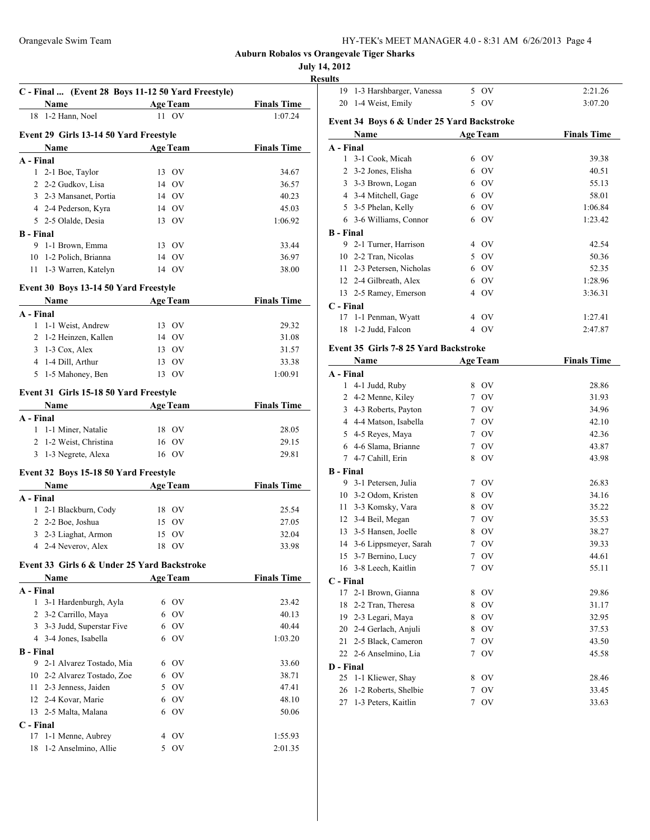|  |  | HY-TEK's MEET MANAGER 4.0 - 8:31 AM 6/26/2013 Page 4 |  |  |  |  |  |
|--|--|------------------------------------------------------|--|--|--|--|--|
|--|--|------------------------------------------------------|--|--|--|--|--|

# **Auburn Robalos vs Orangevale Tiger Sharks**

**July 14, 2012**

|                                                                                                                                                                                                                               |                 | u ixvijaivo        | <b>July 14,</b><br><b>Resu</b> |
|-------------------------------------------------------------------------------------------------------------------------------------------------------------------------------------------------------------------------------|-----------------|--------------------|--------------------------------|
| C - Final  (Event 28 Boys 11-12 50 Yard Freestyle)                                                                                                                                                                            |                 |                    |                                |
| <b>Age Team</b><br><b>Name</b>                                                                                                                                                                                                |                 | <b>Finals Time</b> |                                |
| 18 1-2 Hann, Noel                                                                                                                                                                                                             | 11 OV           | 1:07.24            |                                |
|                                                                                                                                                                                                                               |                 |                    | I                              |
| Event 29 Girls 13-14 50 Yard Freestyle                                                                                                                                                                                        |                 |                    |                                |
| Name                                                                                                                                                                                                                          | <b>Age Team</b> | <b>Finals Time</b> |                                |
| A - Final<br>$\mathbf{1}$                                                                                                                                                                                                     | 13 OV           | 34.67              |                                |
| 2-1 Boe, Taylor<br>2 2-2 Gudkov, Lisa                                                                                                                                                                                         | 14 OV           | 36.57              |                                |
| 3 2-3 Mansanet, Portia                                                                                                                                                                                                        | 14 OV           | 40.23              |                                |
| 4 2-4 Pederson, Kyra                                                                                                                                                                                                          | 14 OV           | 45.03              |                                |
| 5 2-5 Olalde, Desia                                                                                                                                                                                                           | 13 OV           | 1:06.92            |                                |
| <b>B</b> - Final                                                                                                                                                                                                              |                 |                    |                                |
| 9 1-1 Brown, Emma                                                                                                                                                                                                             | 13 OV           | 33.44              |                                |
| 10 1-2 Polich, Brianna                                                                                                                                                                                                        | 14 OV           | 36.97              |                                |
| 11 1-3 Warren, Katelyn                                                                                                                                                                                                        | 14 OV           | 38.00              |                                |
|                                                                                                                                                                                                                               |                 |                    |                                |
| Event 30 Boys 13-14 50 Yard Freestyle                                                                                                                                                                                         |                 |                    |                                |
| Name Age Team                                                                                                                                                                                                                 |                 | <b>Finals Time</b> |                                |
| A - Final                                                                                                                                                                                                                     |                 |                    |                                |
| 1 1-1 Weist, Andrew                                                                                                                                                                                                           | 13 OV           | 29.32              |                                |
| 2 1-2 Heinzen, Kallen                                                                                                                                                                                                         | 14 OV           | 31.08              |                                |
| $3 \t1-3 \text{ Cox}, \text{Alex}$                                                                                                                                                                                            | $13$ OV         | 31.57              |                                |
| 4 1-4 Dill, Arthur                                                                                                                                                                                                            | 13 OV           | 33.38              |                                |
| 5 1-5 Mahoney, Ben                                                                                                                                                                                                            | 13 OV           | 1:00.91            |                                |
| Event 31 Girls 15-18 50 Yard Freestyle                                                                                                                                                                                        |                 |                    |                                |
| Name                                                                                                                                                                                                                          | <b>Age Team</b> | <b>Finals Time</b> |                                |
| A - Final                                                                                                                                                                                                                     |                 |                    |                                |
| 1 1-1 Miner, Natalie                                                                                                                                                                                                          | 18 OV           | 28.05              |                                |
| 2 1-2 Weist, Christina                                                                                                                                                                                                        | 16 OV           | 29.15              |                                |
| 3 1-3 Negrete, Alexa                                                                                                                                                                                                          | 16 OV           | 29.81              |                                |
|                                                                                                                                                                                                                               |                 |                    |                                |
| Event 32 Boys 15-18 50 Yard Freestyle                                                                                                                                                                                         |                 |                    |                                |
| Name and the same state of the state of the state of the state of the state of the state of the state of the state of the state of the state of the state of the state of the state of the state of the state of the state of | <b>Age Team</b> | <b>Finals Time</b> |                                |
| A - Final                                                                                                                                                                                                                     |                 |                    |                                |
| 1 2-1 Blackburn, Cody                                                                                                                                                                                                         | 18 OV           | 25.54              |                                |
| 2 2-2 Boe, Joshua                                                                                                                                                                                                             | 15 OV           | 27.05              |                                |
| 3 2-3 Liaghat, Armon                                                                                                                                                                                                          | 15 OV           | 32.04              |                                |
| 4 2-4 Neverov, Alex                                                                                                                                                                                                           | 18 OV           | 33.98              |                                |
| Event 33 Girls 6 & Under 25 Yard Backstroke                                                                                                                                                                                   |                 |                    |                                |
| Name                                                                                                                                                                                                                          | <b>Age Team</b> | <b>Finals Time</b> |                                |
| A - Final                                                                                                                                                                                                                     |                 |                    |                                |
| 3-1 Hardenburgh, Ayla<br>1                                                                                                                                                                                                    | 6 OV            | 23.42              |                                |
| 2 3-2 Carrillo, Maya                                                                                                                                                                                                          | 6 OV            | 40.13              |                                |
| 3 3-3 Judd, Superstar Five                                                                                                                                                                                                    | 6 OV            | 40.44              |                                |
| 4 3-4 Jones, Isabella                                                                                                                                                                                                         | 6 OV            | 1:03.20            |                                |
| <b>B</b> - Final                                                                                                                                                                                                              |                 |                    |                                |
| 2-1 Alvarez Tostado, Mia<br>9.                                                                                                                                                                                                | 6 OV            | 33.60              |                                |
| 10 2-2 Alvarez Tostado, Zoe                                                                                                                                                                                                   | 6 OV            | 38.71              |                                |
| 11 2-3 Jenness, Jaiden                                                                                                                                                                                                        | 5 OV            | 47.41              |                                |
| 12 2-4 Kovar, Marie                                                                                                                                                                                                           | 6 OV            | 48.10              |                                |
| 13 2-5 Malta, Malana                                                                                                                                                                                                          | 6 OV            | 50.06              |                                |
| C - Final                                                                                                                                                                                                                     |                 |                    |                                |
| 17 1-1 Menne, Aubrey                                                                                                                                                                                                          | 4 OV            | 1:55.93            |                                |

1-2 Anselmino, Allie 5 OV 2:01.35

| ults             |      |                                                     |                 |                 |                    |
|------------------|------|-----------------------------------------------------|-----------------|-----------------|--------------------|
| 19               |      | 1-3 Harshbarger, Vanessa                            |                 | 5 OV            | 2:21.26            |
| 20               |      | 1-4 Weist, Emily                                    |                 | 5 OV            | 3:07.20            |
|                  |      | Event 34 Boys 6 & Under 25 Yard Backstroke          |                 |                 |                    |
|                  |      | Name                                                |                 | <b>Age Team</b> | <b>Finals Time</b> |
| A - Final        |      |                                                     |                 |                 |                    |
|                  |      | 1 3-1 Cook, Micah                                   |                 | 6 OV            | 39.38              |
| 2                |      | 3-2 Jones, Elisha                                   |                 | 6 OV            | 40.51              |
|                  |      | 3 3-3 Brown, Logan                                  |                 | 6 OV            | 55.13              |
|                  |      | 4 3-4 Mitchell, Gage                                |                 | 6 OV            | 58.01              |
|                  |      | 5 3-5 Phelan, Kelly                                 |                 | 6 OV            | 1:06.84            |
|                  |      | 6 3-6 Williams, Connor                              |                 | 6 OV            | 1:23.42            |
|                  |      |                                                     |                 |                 |                    |
| <b>B</b> - Final |      | 9 2-1 Turner, Harrison                              |                 | 4 OV            | 42.54              |
|                  |      | 10 2-2 Tran, Nicolas                                |                 | 5 OV            | 50.36              |
|                  |      |                                                     |                 | 6 OV            | 52.35              |
|                  |      | 11 2-3 Petersen, Nicholas<br>12 2-4 Gilbreath, Alex |                 | 6 OV            | 1:28.96            |
|                  |      | 13 2-5 Ramey, Emerson                               |                 | 4 OV            | 3:36.31            |
|                  |      |                                                     |                 |                 |                    |
| C - Final<br>17  |      | 1-1 Penman, Wyatt                                   |                 | 4 OV            | 1:27.41            |
| 18               |      | 1-2 Judd, Falcon                                    |                 | 4 OV            | 2:47.87            |
|                  |      |                                                     |                 |                 |                    |
|                  |      | Event 35 Girls 7-8 25 Yard Backstroke               |                 |                 |                    |
|                  | Name |                                                     |                 | <b>Age Team</b> | <b>Finals Time</b> |
| A - Final        |      |                                                     |                 |                 |                    |
| $\mathbf{1}$     |      | 4-1 Judd, Ruby                                      |                 | 8 OV            | 28.86              |
|                  |      | 2 4-2 Menne, Kiley                                  |                 | 7 OV            | 31.93              |
|                  |      | 3 4-3 Roberts, Payton                               |                 | 7 OV            | 34.96              |
|                  |      | 4 4-4 Matson, Isabella                              |                 | 7 OV            | 42.10              |
|                  |      | 5 4-5 Reyes, Maya                                   | $7\overline{ }$ | OV              | 42.36              |
|                  |      | 6 4-6 Slama, Brianne                                | $7\overline{ }$ | OV              | 43.87              |
|                  |      | 7 4-7 Cahill, Erin                                  | 8               | OV              | 43.98              |
| <b>B</b> - Final |      |                                                     |                 |                 |                    |
|                  |      | 9 3-1 Petersen, Julia                               | 7               | - OV            | 26.83              |
|                  |      | 10 3-2 Odom, Kristen                                |                 | 8 OV            | 34.16              |
| 11               |      | 3-3 Komsky, Vara                                    |                 | 8 OV            | 35.22              |
|                  |      | 12 3-4 Beil, Megan                                  | $7^{\circ}$     | OV              | 35.53              |
|                  |      | 13 3-5 Hansen, Joelle                               | 8               | OV              | 38.27              |
|                  |      | 14 3-6 Lippsmeyer, Sarah                            |                 | 7 OV            | 39.33              |
| 15               |      | 3-7 Bernino, Lucy                                   | 7               | OV              | 44.61              |
| 16               |      | 3-8 Leech, Kaitlin                                  | 7               | OV              | 55.11              |
| C - Final        |      |                                                     |                 |                 |                    |
| 17               |      | 2-1 Brown, Gianna                                   | 8               | OV              | 29.86              |
| 18               |      | 2-2 Tran, Theresa                                   | 8               | OV              | 31.17              |
|                  |      | 19 2-3 Legari, Maya                                 | 8               | OV              | 32.95              |
|                  |      | 20 2-4 Gerlach, Anjuli                              | 8               | OV              | 37.53              |
| 21               |      | 2-5 Black, Cameron                                  | 7               | OV              | 43.50              |
| 22               |      | 2-6 Anselmino, Lia                                  | 7               | OV              | 45.58              |
| D - Final        |      |                                                     |                 |                 |                    |
| 25               |      | 1-1 Kliewer, Shay                                   | 8               | OV              | 28.46              |
| 26               |      | 1-2 Roberts, Shelbie                                | 7               | OV              | 33.45              |
| 27               |      | 1-3 Peters, Kaitlin                                 | 7               | OV              | 33.63              |
|                  |      |                                                     |                 |                 |                    |
|                  |      |                                                     |                 |                 |                    |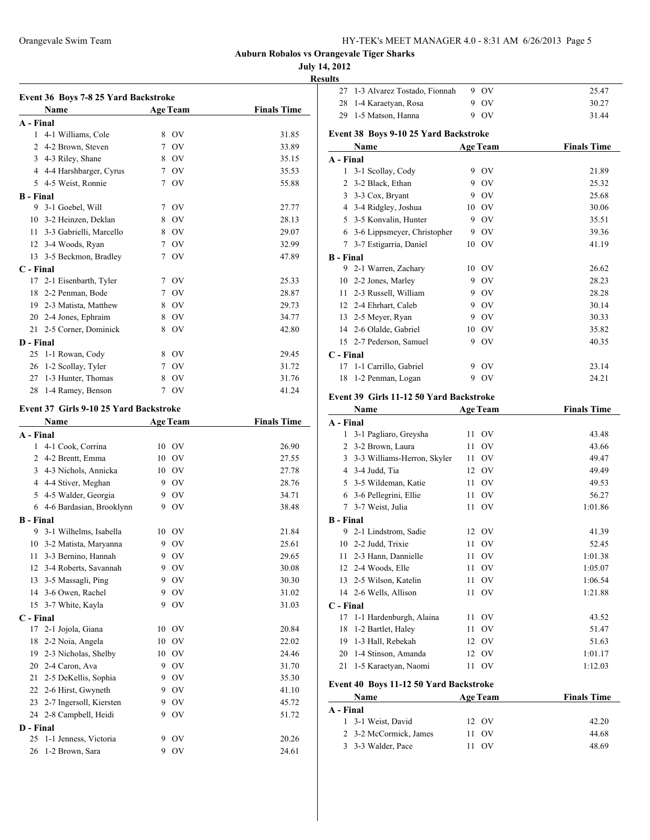| HY-TEK's MEET MANAGER 4.0 - 8:31 AM 6/26/2013 Page 5 |  |  |  |  |  |  |
|------------------------------------------------------|--|--|--|--|--|--|
|------------------------------------------------------|--|--|--|--|--|--|

### **July 14, 2012**

**Results**<br> $\begin{bmatrix} 27 & 1-3 & \text{A} \text{I} \text{V} \end{bmatrix}$ 

|                           | Event 36 Boys 7-8 25 Yard Backstroke<br>Name  |    | <b>Age Team</b> | <b>Finals Time</b> |
|---------------------------|-----------------------------------------------|----|-----------------|--------------------|
|                           |                                               |    |                 |                    |
| A - Final<br>$\mathbf{1}$ | 4-1 Williams, Cole                            |    | 8 OV            | 31.85              |
|                           | 2 4-2 Brown, Steven                           |    | 7 OV            | 33.89              |
|                           | 3 4-3 Riley, Shane                            |    | 8 OV            | 35.15              |
|                           | 4 4-4 Harshbarger, Cyrus                      |    | 7 OV            | 35.53              |
|                           | 5 4-5 Weist, Ronnie                           |    | 7 OV            | 55.88              |
|                           |                                               |    |                 |                    |
| <b>B</b> - Final<br>9     | 3-1 Goebel, Will                              |    | 7 OV            |                    |
|                           |                                               |    |                 | 27.77              |
|                           | 10 3-2 Heinzen, Deklan                        |    | 8 OV<br>8 OV    | 28.13<br>29.07     |
|                           | 11 3-3 Gabrielli, Marcello                    |    |                 |                    |
|                           | 12 3-4 Woods, Ryan                            |    | 7 OV            | 32.99              |
|                           | 13 3-5 Beckmon, Bradley                       | 7  | OV              | 47.89              |
| C - Final                 |                                               |    |                 |                    |
|                           | 17 2-1 Eisenbarth, Tyler                      |    | 7 OV            | 25.33              |
| 18                        | 2-2 Penman, Bode                              |    | 7 OV            | 28.87              |
|                           | 19 2-3 Matista, Matthew                       |    | 8 OV            | 29.73              |
|                           | 20 2-4 Jones, Ephraim                         |    | 8 OV            | 34.77              |
|                           | 21 2-5 Corner, Dominick                       |    | 8 OV            | 42.80              |
| D - Final                 |                                               |    |                 |                    |
| 25                        | 1-1 Rowan, Cody                               |    | 8 OV            | 29.45              |
| 26                        | 1-2 Scollay, Tyler                            |    | 7 OV            | 31.72              |
| 27                        | 1-3 Hunter, Thomas                            |    | 8 OV            | 31.76              |
| 28                        | 1-4 Ramey, Benson                             |    | 7 OV            | 41.24              |
|                           | <b>Event 37 Girls 9-10 25 Yard Backstroke</b> |    |                 |                    |
|                           | Name                                          |    | <b>Age Team</b> | <b>Finals Time</b> |
| A - Final                 |                                               |    |                 |                    |
| 1                         | 4-1 Cook, Corrina                             |    | 10 OV           | 26.90              |
|                           | 2 4-2 Brentt, Emma                            |    | 10 OV           | 27.55              |
|                           | 3 4-3 Nichols, Annicka                        |    | 10 OV           | 27.78              |
|                           | 4 4-4 Stiver, Meghan                          |    | 9 OV            | 28.76              |
|                           | 5 4-5 Walder, Georgia                         |    | 9 OV            | 34.71              |
|                           | 6 4-6 Bardasian, Brooklynn                    |    | 9 OV            | 38.48              |
| <b>B</b> - Final          |                                               |    |                 |                    |
| 9                         | 3-1 Wilhelms, Isabella                        | 10 | OV              | 21.84              |
|                           | 10 3-2 Matista, Maryanna                      |    | 9 OV            | 25.61              |
| 11                        | 3-3 Bernino, Hannah                           |    | 9 OV            | 29.65              |
| 12                        | 3-4 Roberts, Savannah                         | 9  | OV              | 30.08              |
| 13                        | 3-5 Massagli, Ping                            | 9  | OV              | 30.30              |
| 14                        | 3-6 Owen, Rachel                              | 9  | <b>OV</b>       | 31.02              |
| 15                        | 3-7 White, Kayla                              | 9  | <b>OV</b>       | 31.03              |
| C - Final                 |                                               |    |                 |                    |
| 17                        | 2-1 Jojola, Giana                             | 10 | <b>OV</b>       | 20.84              |
| 18                        | 2-2 Noia, Angela                              | 10 | OV              | 22.02              |
| 19                        | 2-3 Nicholas, Shelby                          | 10 | OV              | 24.46              |
| 20                        | 2-4 Caron, Ava                                | 9  | OV              | 31.70              |
| 21                        | 2-5 DeKellis, Sophia                          | 9  | OV              | 35.30              |
| 22                        | 2-6 Hirst, Gwyneth                            | 9  | <b>OV</b>       | 41.10              |
|                           | 2-7 Ingersoll, Kiersten                       | 9  | $\hbox{OV}$     | 45.72              |
| 23                        |                                               |    |                 |                    |
| 24                        | 2-8 Campbell, Heidi                           | 9  | OV              | 51.72              |
| D - Final                 |                                               |    |                 |                    |
| 25                        | 1-1 Jenness, Victoria                         | 9  | <b>OV</b>       | 20.26              |

|                  | 27 | 1-3 Alvarez Tostado, Fionnah                                   | 9  | OV              | 25.47              |
|------------------|----|----------------------------------------------------------------|----|-----------------|--------------------|
|                  | 28 | 1-4 Karaetyan, Rosa                                            | 9  | OV              | 30.27              |
|                  | 29 | 1-5 Matson, Hanna                                              |    | 9 OV            | 31.44              |
|                  |    | Event 38 Boys 9-10 25 Yard Backstroke                          |    |                 |                    |
|                  |    | Name                                                           |    | <b>Age Team</b> | <b>Finals Time</b> |
| A - Final        |    |                                                                |    |                 |                    |
|                  | 1  | 3-1 Scollay, Cody                                              |    | 9 OV            | 21.89              |
|                  |    | 2 3-2 Black, Ethan                                             |    | 9 OV            | 25.32              |
|                  | 3  | 3-3 Cox, Bryant                                                |    | 9 OV            | 25.68              |
|                  |    | 4 3-4 Ridgley, Joshua                                          |    | 10 OV           | 30.06              |
|                  |    | 5 3-5 Konvalin, Hunter                                         |    | 9 OV            | 35.51              |
|                  |    | 6 3-6 Lippsmeyer, Christopher                                  |    | 9 OV            | 39.36              |
|                  |    | 7 3-7 Estigarria, Daniel                                       |    | 10 OV           | 41.19              |
| <b>B</b> - Final |    |                                                                |    |                 |                    |
|                  |    | 9 2-1 Warren, Zachary                                          |    | 10 OV           | 26.62              |
|                  |    | 10 2-2 Jones, Marley                                           | 9. | OV              | 28.23              |
|                  | 11 | 2-3 Russell, William                                           |    | 9 OV            | 28.28              |
|                  | 12 | 2-4 Ehrhart, Caleb                                             |    | 9 OV            | 30.14              |
|                  | 13 | 2-5 Meyer, Ryan                                                |    | 9 OV            | 30.33              |
|                  | 14 | 2-6 Olalde, Gabriel                                            |    | 10 OV           | 35.82              |
|                  | 15 | 2-7 Pederson, Samuel                                           |    | 9 OV            | 40.35              |
| $C$ - Final      |    |                                                                |    |                 |                    |
|                  | 17 | 1-1 Carrillo, Gabriel                                          |    | 9 OV            | 23.14              |
|                  | 18 | 1-2 Penman, Logan                                              |    | 9 OV            | 24.21              |
|                  |    |                                                                |    |                 |                    |
|                  |    |                                                                |    |                 |                    |
|                  |    | Event 39 Girls 11-12 50 Yard Backstroke                        |    |                 |                    |
|                  |    | Name                                                           |    | <b>Age Team</b> | <b>Finals Time</b> |
| A - Final        |    |                                                                |    |                 |                    |
|                  | 1  | 3-1 Pagliaro, Greysha                                          | 11 | OV              | 43.48              |
|                  |    | 2 3-2 Brown, Laura                                             | 11 | OV              | 43.66              |
|                  |    | 3 3-3 Williams-Herron, Skyler                                  | 11 | OV              | 49.47              |
|                  |    | 4 3-4 Judd, Tia                                                | 12 | OV              | 49.49              |
|                  | 5. | 3-5 Wildeman, Katie                                            | 11 | OV              | 49.53              |
|                  |    | 6 3-6 Pellegrini, Ellie                                        | 11 | OV              | 56.27              |
|                  | 7  | 3-7 Weist, Julia                                               | 11 | OV              | 1:01.86            |
| <b>B</b> - Final |    |                                                                |    |                 |                    |
|                  | 9  | 2-1 Lindstrom, Sadie                                           | 12 | OV              | 41.39              |
|                  |    | 10 2-2 Judd, Trixie                                            | 11 | OV              | 52.45              |
|                  |    | 11 2-3 Hann, Dannielle                                         |    | 11 OV           | 1:01.38            |
|                  | 12 | 2-4 Woods, Elle                                                | 11 | OV              | 1:05.07            |
|                  | 13 | 2-5 Wilson, Katelin                                            | 11 | OV              | 1:06.54            |
|                  | 14 | 2-6 Wells, Allison                                             | 11 | OV              | 1:21.88            |
| C - Final        |    |                                                                |    |                 |                    |
|                  | 17 | 1-1 Hardenburgh, Alaina                                        | 11 | OV              | 43.52              |
|                  | 18 | 1-2 Bartlet, Haley                                             | 11 | OV              | 51.47              |
|                  | 19 | 1-3 Hall, Rebekah                                              | 12 | OV              | 51.63              |
|                  | 20 | 1-4 Stinson, Amanda                                            | 12 | OV              | 1:01.17            |
|                  | 21 | 1-5 Karaetyan, Naomi<br>Event 40 Boys 11-12 50 Yard Backstroke | 11 | OV              | 1:12.03            |

| Name                   | <b>Age Team</b> | <b>Finals Time</b> |  |  |  |
|------------------------|-----------------|--------------------|--|--|--|
| A - Final              |                 |                    |  |  |  |
| 1 3-1 Weist, David     | 12 OV           | 42.20              |  |  |  |
| 2 3-2 McCormick, James | 11 OV           | 44.68              |  |  |  |
| 3 3-3 Walder, Pace     | $_{\rm OV}$     | 48.69              |  |  |  |